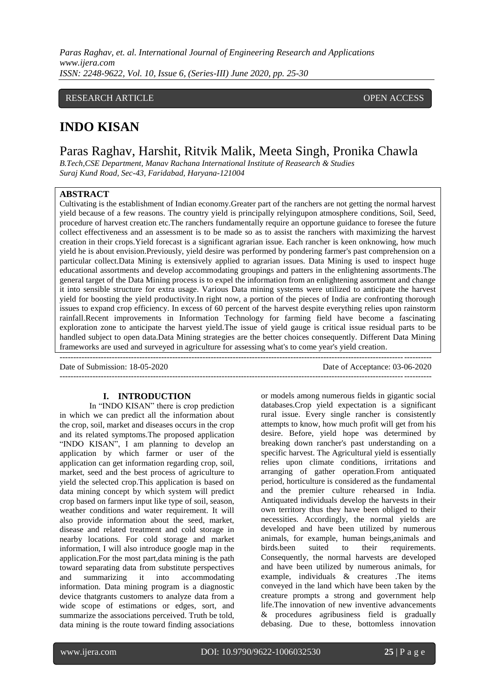#### RESEARCH ARTICLE **CONSERVERS** OPEN ACCESS

## **INDO KISAN**

Paras Raghav, Harshit, Ritvik Malik, Meeta Singh, Pronika Chawla

*B.Tech,CSE Department, Manav Rachana International Institute of Reasearch & Studies Suraj Kund Road, Sec-43, Faridabad, Haryana-121004*

 $-++++++$ 

### **ABSTRACT**

Cultivating is the establishment of Indian economy.Greater part of the ranchers are not getting the normal harvest yield because of a few reasons. The country yield is principally relyingupon atmosphere conditions, Soil, Seed, procedure of harvest creation etc.The ranchers fundamentally require an opportune guidance to foresee the future collect effectiveness and an assessment is to be made so as to assist the ranchers with maximizing the harvest creation in their crops.Yield forecast is a significant agrarian issue. Each rancher is keen onknowing, how much yield he is about envision.Previously, yield desire was performed by pondering farmer's past comprehension on a particular collect.Data Mining is extensively applied to agrarian issues. Data Mining is used to inspect huge educational assortments and develop accommodating groupings and patters in the enlightening assortments.The general target of the Data Mining process is to expel the information from an enlightening assortment and change it into sensible structure for extra usage. Various Data mining systems were utilized to anticipate the harvest yield for boosting the yield productivity.In right now, a portion of the pieces of India are confronting thorough issues to expand crop efficiency. In excess of 60 percent of the harvest despite everything relies upon rainstorm rainfall.Recent improvements in Information Technology for farming field have become a fascinating exploration zone to anticipate the harvest yield.The issue of yield gauge is critical issue residual parts to be handled subject to open data.Data Mining strategies are the better choices consequently. Different Data Mining frameworks are used and surveyed in agriculture for assessing what's to come year's yield creation.

Date of Submission: 18-05-2020 Date of Acceptance: 03-06-2020 ---------------------------------------------------------------------------------------------------------------------------------------

#### **I. INTRODUCTION**

In "INDO KISAN" there is crop prediction in which we can predict all the information about the crop, soil, market and diseases occurs in the crop and its related symptoms.The proposed application "INDO KISAN", I am planning to develop an application by which farmer or user of the application can get information regarding crop, soil, market, seed and the best process of agriculture to yield the selected crop.This application is based on data mining concept by which system will predict crop based on farmers input like type of soil, season, weather conditions and water requirement. It will also provide information about the seed, market, disease and related treatment and cold storage in nearby locations. For cold storage and market information, I will also introduce google map in the application.For the most part,data mining is the path toward separating data from substitute perspectives and summarizing it into accommodating information. Data mining program is a diagnostic device thatgrants customers to analyze data from a wide scope of estimations or edges, sort, and summarize the associations perceived. Truth be told, data mining is the route toward finding associations

or models among numerous fields in gigantic social databases.Crop yield expectation is a significant rural issue. Every single rancher is consistently attempts to know, how much profit will get from his desire. Before, yield hope was determined by breaking down rancher's past understanding on a specific harvest. The Agricultural yield is essentially relies upon climate conditions, irritations and arranging of gather operation.From antiquated period, horticulture is considered as the fundamental and the premier culture rehearsed in India. Antiquated individuals develop the harvests in their own territory thus they have been obliged to their necessities. Accordingly, the normal yields are developed and have been utilized by numerous animals, for example, human beings,animals and birds.been suited to their requirements. Consequently, the normal harvests are developed and have been utilized by numerous animals, for example, individuals & creatures .The items conveyed in the land which have been taken by the creature prompts a strong and government help life.The innovation of new inventive advancements & procedures agribusiness field is gradually debasing. Due to these, bottomless innovation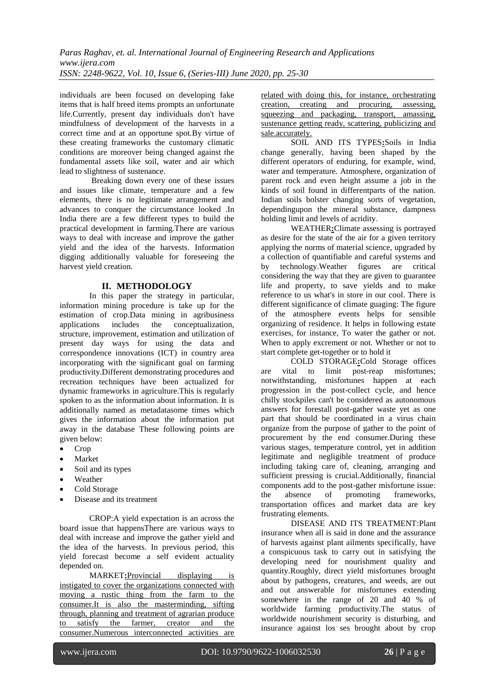individuals are been focused on developing fake items that is half breed items prompts an unfortunate life.Currently, present day individuals don't have mindfulness of development of the harvests in a correct time and at an opportune spot.By virtue of these creating frameworks the customary climatic conditions are moreover being changed against the fundamental assets like soil, water and air which lead to slightness of sustenance.

Breaking down every one of these issues and issues like climate, temperature and a few elements, there is no legitimate arrangement and advances to conquer the circumstance looked .In India there are a few different types to build the practical development in farming.There are various ways to deal with increase and improve the gather yield and the idea of the harvests. Information digging additionally valuable for foreseeing the harvest yield creation.

#### **II. METHODOLOGY**

In this paper the strategy in particular, information mining procedure is take up for the estimation of crop.Data mining in agribusiness applications includes the conceptualization, structure, improvement, estimation and utilization of present day ways for using the data and correspondence innovations (ICT) in country area incorporating with the significant goal on farming productivity.Different demonstrating procedures and recreation techniques have been actualized for dynamic frameworks in agriculture.This is regularly spoken to as the information about information. It is additionally named as metadatasome times which gives the information about the information put away in the database These following points are given below:

- Crop
- Market
- Soil and its types
- Weather
- Cold Storage
- Disease and its treatment

CROP:A yield expectation is an across the board issue that happensThere are various ways to deal with increase and improve the gather yield and the idea of the harvests. In previous period, this yield forecast become a self evident actuality depended on.

MARKET**:**Provincial displaying is instigated to cover the organizations connected with moving a rustic thing from the farm to the consumer.It is also the masterminding, sifting through, planning and treatment of agrarian produce to satisfy the farmer, creator and the consumer.Numerous interconnected activities are

related with doing this, for instance, orchestrating creation, creating and procuring, assessing, squeezing and packaging, transport, amassing, sustenance getting ready, scattering, publicizing and sale.accurately.

SOIL AND ITS TYPES**:**Soils in India change generally, having been shaped by the different operators of enduring, for example, wind, water and temperature. Atmosphere, organization of parent rock and even height assume a job in the kinds of soil found in differentparts of the nation. Indian soils bolster changing sorts of vegetation, dependingupon the mineral substance, dampness holding limit and levels of acridity.

WEATHER**:**Climate assessing is portrayed as desire for the state of the air for a given territory applying the norms of material science, upgraded by a collection of quantifiable and careful systems and by technology.Weather figures are critical considering the way that they are given to guarantee life and property, to save yields and to make reference to us what's in store in our cool. There is different significance of climate guaging: The figure of the atmosphere events helps for sensible organizing of residence. It helps in following estate exercises, for instance, To water the gather or not. When to apply excrement or not. Whether or not to start complete get-together or to hold it

COLD STORAGE**:**Cold Storage offices are vital to limit post-reap misfortunes; notwithstanding, misfortunes happen at each progression in the post-collect cycle, and hence chilly stockpiles can't be considered as autonomous answers for forestall post-gather waste yet as one part that should be coordinated in a virus chain organize from the purpose of gather to the point of procurement by the end consumer.During these various stages, temperature control, yet in addition legitimate and negligible treatment of produce including taking care of, cleaning, arranging and sufficient pressing is crucial.Additionally, financial components add to the post-gather misfortune issue: the absence of promoting frameworks, transportation offices and market data are key frustrating elements.

DISEASE AND ITS TREATMENT:Plant insurance when all is said in done and the assurance of harvests against plant ailments specifically, have a conspicuous task to carry out in satisfying the developing need for nourishment quality and quantity.Roughly, direct yield misfortunes brought about by pathogens, creatures, and weeds, are out and out answerable for misfortunes extending somewhere in the range of 20 and 40 % of worldwide farming productivity.The status of worldwide nourishment security is disturbing, and insurance against los ses brought about by crop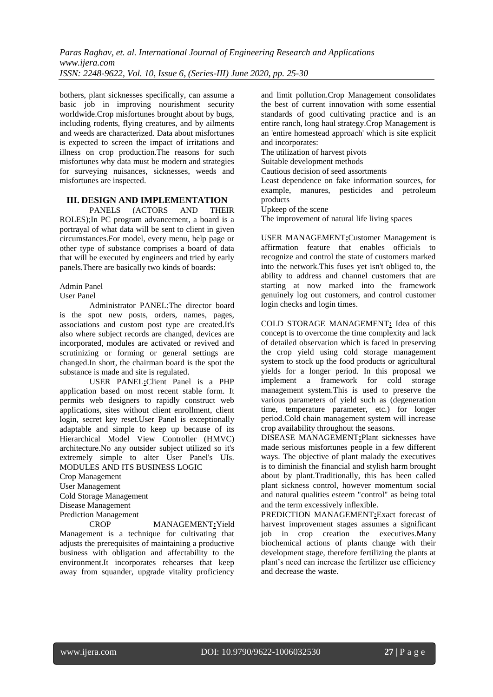bothers, plant sicknesses specifically, can assume a basic job in improving nourishment security worldwide.Crop misfortunes brought about by bugs, including rodents, flying creatures, and by ailments and weeds are characterized. Data about misfortunes is expected to screen the impact of irritations and illness on crop production.The reasons for such misfortunes why data must be modern and strategies for surveying nuisances, sicknesses, weeds and misfortunes are inspected.

# **III. DESIGN AND IMPLEMENTATION**<br>PANELS (ACTORS AND THEI

PANELS (ACTORS AND THEIR ROLES);In PC program advancement, a board is a portrayal of what data will be sent to client in given circumstances.For model, every menu, help page or other type of substance comprises a board of data that will be executed by engineers and tried by early panels.There are basically two kinds of boards:

#### Admin Panel

User Panel

Administrator PANEL:The director board is the spot new posts, orders, names, pages, associations and custom post type are created.It's also where subject records are changed, devices are incorporated, modules are activated or revived and scrutinizing or forming or general settings are changed.In short, the chairman board is the spot the substance is made and site is regulated.

USER PANEL**:**Client Panel is a PHP application based on most recent stable form. It permits web designers to rapidly construct web applications, sites without client enrollment, client login, secret key reset.User Panel is exceptionally adaptable and simple to keep up because of its Hierarchical Model View Controller (HMVC) architecture.No any outsider subject utilized so it's extremely simple to alter User Panel's UIs. MODULES AND ITS BUSINESS LOGIC

Crop Management User Management Cold Storage Management Disease Management Prediction Management

CROP MANAGEMENT**:**Yield Management is a technique for cultivating that adjusts the prerequisites of maintaining a productive business with obligation and affectability to the environment.It incorporates rehearses that keep away from squander, upgrade vitality proficiency and limit pollution.Crop Management consolidates the best of current innovation with some essential standards of good cultivating practice and is an entire ranch, long haul strategy.Crop Management is an 'entire homestead approach' which is site explicit and incorporates:

The utilization of harvest pivots

Suitable development methods

Cautious decision of seed assortments

Least dependence on fake information sources, for example, manures, pesticides and petroleum products

Upkeep of the scene

The improvement of natural life living spaces

USER MANAGEMENT**:**Customer Management is affirmation feature that enables officials to recognize and control the state of customers marked into the network.This fuses yet isn't obliged to, the ability to address and channel customers that are starting at now marked into the framework genuinely log out customers, and control customer login checks and login times.

COLD STORAGE MANAGEMENT**:** Idea of this concept is to overcome the time complexity and lack of detailed observation which is faced in preserving the crop yield using cold storage management system to stock up the food products or agricultural yields for a longer period. In this proposal we implement a framework for cold storage management system.This is used to preserve the various parameters of yield such as (degeneration time, temperature parameter, etc.) for longer period.Cold chain management system will increase crop availability throughout the seasons.

DISEASE MANAGEMENT**:**Plant sicknesses have made serious misfortunes people in a few different ways. The objective of plant malady the executives is to diminish the financial and stylish harm brought about by plant.Traditionally, this has been called plant sickness control, however momentum social and natural qualities esteem "control" as being total and the term excessively inflexible.

PREDICTION MANAGEMENT**:**Exact forecast of harvest improvement stages assumes a significant job in crop creation the executives.Many biochemical actions of plants change with their development stage, therefore fertilizing the plants at plant's need can increase the fertilizer use efficiency and decrease the waste.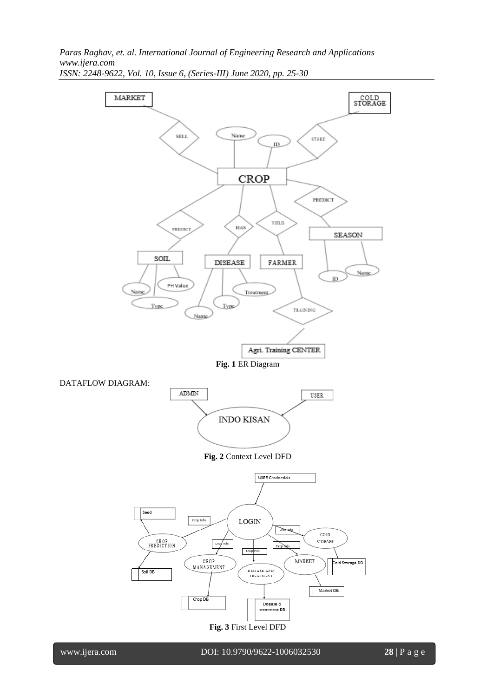

www.ijera.com DOI: 10.9790/9622-1006032530 **28** | P a g e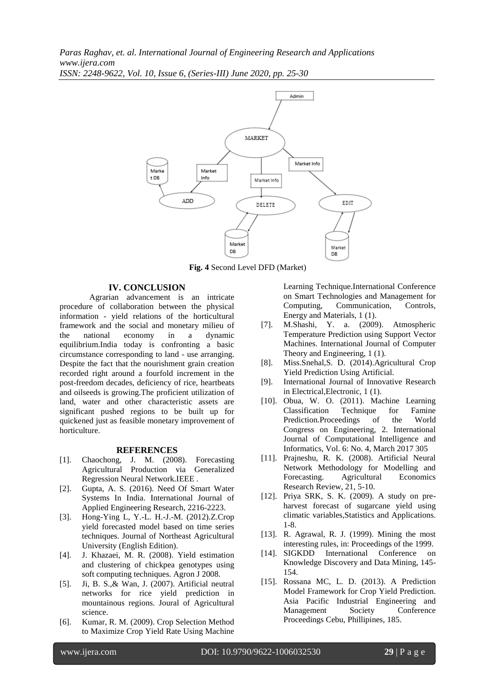

**Fig. 4** Second Level DFD (Market)

#### **IV. CONCLUSION**

Agrarian advancement is an intricate procedure of collaboration between the physical information - yield relations of the horticultural framework and the social and monetary milieu of the national economy in a dynamic equilibrium.India today is confronting a basic circumstance corresponding to land - use arranging. Despite the fact that the nourishment grain creation recorded right around a fourfold increment in the post-freedom decades, deficiency of rice, heartbeats and oilseeds is growing.The proficient utilization of land, water and other characteristic assets are significant pushed regions to be built up for quickened just as feasible monetary improvement of horticulture.

#### **REFERENCES**

- [1]. Chaochong, J. M. (2008). Forecasting Agricultural Production via Generalized Regression Neural Network.IEEE .
- [2]. Gupta, A. S. (2016). Need Of Smart Water Systems In India. International Journal of Applied Engineering Research, 2216-2223.
- [3]. Hong-Ying L, Y.-L. H.-J.-M. (2012).Z.Crop yield forecasted model based on time series techniques. Journal of Northeast Agricultural University (English Edition).
- [4]. J. Khazaei, M. R. (2008). Yield estimation and clustering of chickpea genotypes using soft computing techniques. Agron J 2008.
- [5]. Ji, B. S.,& Wan, J. (2007). Artificial neutral networks for rice yield prediction in mountainous regions. Joural of Agricultural science.
- [6]. Kumar, R. M. (2009). Crop Selection Method to Maximize Crop Yield Rate Using Machine

Learning Technique.International Conference on Smart Technologies and Management for Computing, Communication, Controls, Energy and Materials, 1 (1).

- [7]. M.Shashi, Y. a. (2009). Atmospheric Temperature Prediction using Support Vector Machines. International Journal of Computer Theory and Engineering, 1 (1).
- [8]. Miss.Snehal,S. D. (2014).Agricultural Crop Yield Prediction Using Artificial.
- [9]. International Journal of Innovative Research in Electrical,Electronic, 1 (1).
- [10]. Obua, W. O. (2011). Machine Learning Classification Technique for Famine Prediction.Proceedings of the World Congress on Engineering, 2. International Journal of Computational Intelligence and Informatics, Vol. 6: No. 4, March 2017 305
- [11]. Prajneshu, R. K. (2008). Artificial Neural Network Methodology for Modelling and Forecasting. Agricultural Economics Research Review, 21, 5-10.
- [12]. Priya SRK, S. K. (2009). A study on preharvest forecast of sugarcane yield using climatic variables,Statistics and Applications. 1-8.
- [13]. R. Agrawal, R. J. (1999). Mining the most interesting rules, in: Proceedings of the 1999.
- [14]. SIGKDD International Conference on Knowledge Discovery and Data Mining, 145- 154.
- [15]. Rossana MC, L. D. (2013). A Prediction Model Framework for Crop Yield Prediction. Asia Pacific Industrial Engineering and Management Society Conference Proceedings Cebu, Phillipines, 185.